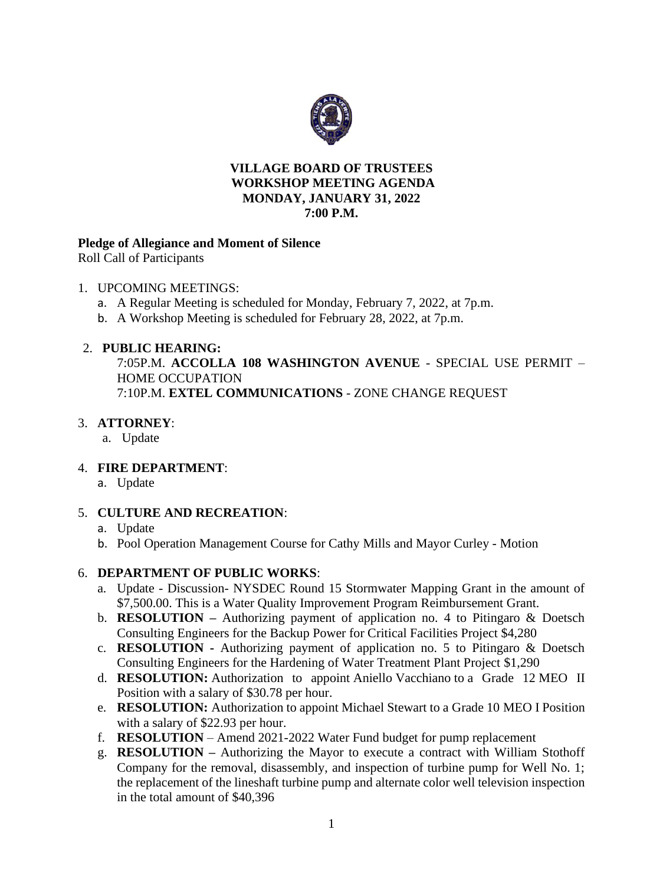

#### **VILLAGE BOARD OF TRUSTEES WORKSHOP MEETING AGENDA MONDAY, JANUARY 31, 2022 7:00 P.M.**

### **Pledge of Allegiance and Moment of Silence**

Roll Call of Participants

#### 1. UPCOMING MEETINGS:

- a. A Regular Meeting is scheduled for Monday, February 7, 2022, at 7p.m.
- b. A Workshop Meeting is scheduled for February 28, 2022, at 7p.m.

### 2. **PUBLIC HEARING:**

7:05P.M. **ACCOLLA 108 WASHINGTON AVENUE** - SPECIAL USE PERMIT – HOME OCCUPATION 7:10P.M. **EXTEL COMMUNICATIONS** - ZONE CHANGE REQUEST

### 3. **ATTORNEY**:

a. Update

# 4. **FIRE DEPARTMENT**:

a. Update

# 5. **CULTURE AND RECREATION**:

- a. Update
- b. Pool Operation Management Course for Cathy Mills and Mayor Curley Motion

# 6. **DEPARTMENT OF PUBLIC WORKS**:

- a. Update Discussion- NYSDEC Round 15 Stormwater Mapping Grant in the amount of \$7,500.00. This is a Water Quality Improvement Program Reimbursement Grant.
- b. **RESOLUTION –** Authorizing payment of application no. 4 to Pitingaro & Doetsch Consulting Engineers for the Backup Power for Critical Facilities Project \$4,280
- c. **RESOLUTION -** Authorizing payment of application no. 5 to Pitingaro & Doetsch Consulting Engineers for the Hardening of Water Treatment Plant Project \$1,290
- d. **RESOLUTION:** Authorization to appoint Aniello Vacchiano to a Grade 12 MEO II Position with a salary of \$30.78 per hour.
- e. **RESOLUTION:** Authorization to appoint Michael Stewart to a Grade 10 MEO I Position with a salary of \$22.93 per hour.
- f. **RESOLUTION** Amend 2021-2022 Water Fund budget for pump replacement
- g. **RESOLUTION –** Authorizing the Mayor to execute a contract with William Stothoff Company for the removal, disassembly, and inspection of turbine pump for Well No. 1; the replacement of the lineshaft turbine pump and alternate color well television inspection in the total amount of \$40,396